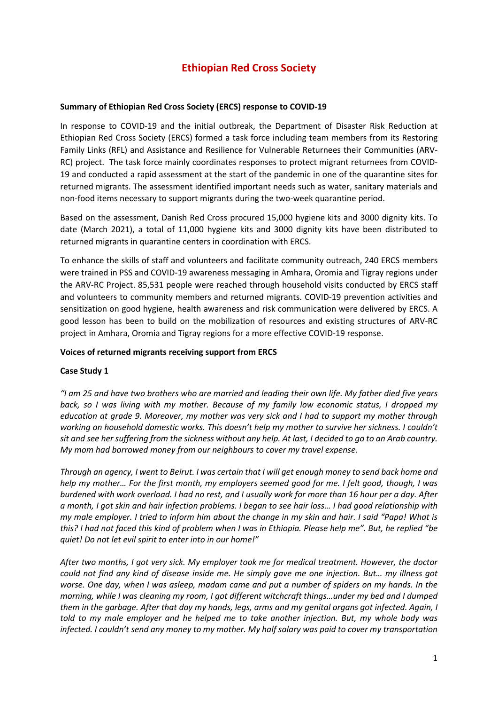# **Ethiopian Red Cross Society**

### **Summary of Ethiopian Red Cross Society (ERCS) response to COVID-19**

In response to COVID-19 and the initial outbreak, the Department of Disaster Risk Reduction at Ethiopian Red Cross Society (ERCS) formed a task force including team members from its Restoring Family Links (RFL) and Assistance and Resilience for Vulnerable Returnees their Communities (ARV-RC) project. The task force mainly coordinates responses to protect migrant returnees from COVID-19 and conducted a rapid assessment at the start of the pandemic in one of the quarantine sites for returned migrants. The assessment identified important needs such as water, sanitary materials and non-food items necessary to support migrants during the two-week quarantine period.

Based on the assessment, Danish Red Cross procured 15,000 hygiene kits and 3000 dignity kits. To date (March 2021), a total of 11,000 hygiene kits and 3000 dignity kits have been distributed to returned migrants in quarantine centers in coordination with ERCS.

To enhance the skills of staff and volunteers and facilitate community outreach, 240 ERCS members were trained in PSS and COVID-19 awareness messaging in Amhara, Oromia and Tigray regions under the ARV-RC Project. 85,531 people were reached through household visits conducted by ERCS staff and volunteers to community members and returned migrants. COVID-19 prevention activities and sensitization on good hygiene, health awareness and risk communication were delivered by ERCS. A good lesson has been to build on the mobilization of resources and existing structures of ARV-RC project in Amhara, Oromia and Tigray regions for a more effective COVID-19 response.

#### **Voices of returned migrants receiving support from ERCS**

#### **Case Study 1**

*"I am 25 and have two brothers who are married and leading their own life. My father died five years back, so I was living with my mother. Because of my family low economic status, I dropped my education at grade 9. Moreover, my mother was very sick and I had to support my mother through working on household domestic works. This doesn't help my mother to survive her sickness. I couldn't sit and see her suffering from the sickness without any help. At last, I decided to go to an Arab country. My mom had borrowed money from our neighbours to cover my travel expense.* 

*Through an agency, I went to Beirut. I was certain that I will get enough money to send back home and help my mother… For the first month, my employers seemed good for me. I felt good, though, I was burdened with work overload. I had no rest, and I usually work for more than 16 hour per a day. After a month, I got skin and hair infection problems. I began to see hair loss… I had good relationship with my male employer. I tried to inform him about the change in my skin and hair. I said "Papa! What is this? I had not faced this kind of problem when I was in Ethiopia. Please help me". But, he replied "be quiet! Do not let evil spirit to enter into in our home!"* 

*After two months, I got very sick. My employer took me for medical treatment. However, the doctor could not find any kind of disease inside me. He simply gave me one injection. But… my illness got worse. One day, when I was asleep, madam came and put a number of spiders on my hands. In the morning, while I was cleaning my room, I got different witchcraft things…under my bed and I dumped them in the garbage. After that day my hands, legs, arms and my genital organs got infected. Again, I told to my male employer and he helped me to take another injection. But, my whole body was infected. I couldn't send any money to my mother. My half salary was paid to cover my transportation*